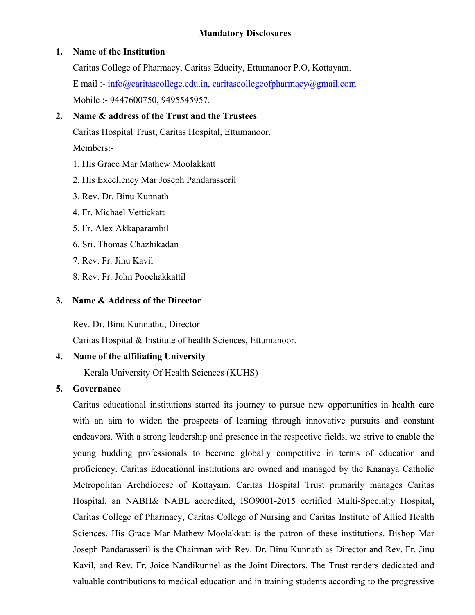#### **Mandatory Disclosures**

#### **1. Name of the Institution**

Caritas College of Pharmacy, Caritas Educity, Ettumanoor P.O, Kottayam. E mail :- [info@caritascollege.edu.in,](mailto:info@caritascollege.edu.in) [caritascollegeofpharmacy@gmail.com](mailto:caritascollegeofpharmacy@gmail.com) Mobile :- 9447600750, 9495545957.

### **2. Name & address ofthe Trust and the Trustees**

Caritas Hospital Trust, Caritas Hospital, Ettumanoor. Members:-

- 1. His Grace Mar Mathew Moolakkatt
- 2. His Excellency Mar Joseph Pandarasseril
- 3. Rev. Dr. Binu Kunnath
- 4. Fr. Michael Vettickatt
- 5. Fr. Alex Akkaparambil
- 6. Sri. Thomas Chazhikadan
- 7. Rev. Fr. Jinu Kavil
- 8. Rev. Fr. John Poochakkattil

#### **3. Name & Address of the Director**

Rev. Dr. Binu Kunnathu, Director

Caritas Hospital & Institute of health Sciences, Ettumanoor.

### **4. Name of the affiliating University**

Kerala University Of Health Sciences (KUHS)

### **5. Governance**

Caritas educational institutions started its journey to pursue new opportunities in health care with an aim to widen the prospects of learning through innovative pursuits and constant endeavors. With a strong leadership and presence in the respective fields, we strive to enable the young budding professionals to become globally competitive in terms of education and proficiency. Caritas Educational institutions are owned and managed by the Knanaya Catholic Metropolitan Archdiocese of Kottayam. Caritas Hospital Trust primarily manages Caritas Hospital, an NABH& NABL accredited, ISO9001-2015 certified Multi-Specialty Hospital, Caritas College of Pharmacy, Caritas College of Nursing and Caritas Institute of Allied Health Sciences. His Grace Mar Mathew Moolakkatt is the patron of these institutions. Bishop Mar Joseph Pandarasseril is the Chairman with Rev. Dr. Binu Kunnath as Director and Rev. Fr. Jinu Kavil, and Rev. Fr. Joice Nandikunnel as the Joint Directors. The Trust renders dedicated and valuable contributions to medical education and in training students according to the progressive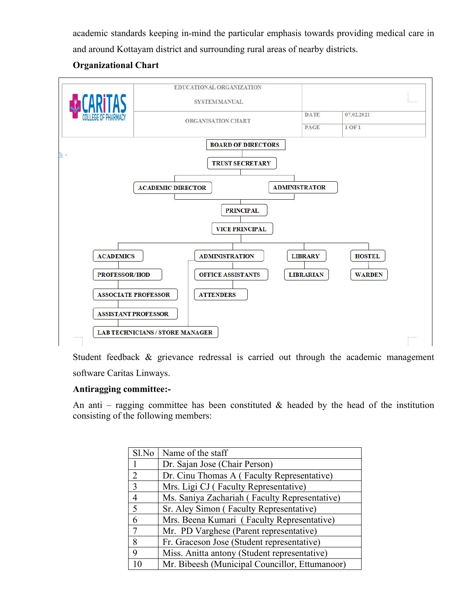academic standards keeping in-mind the particular emphasis towards providing medical care in and around Kottayam district and surrounding rural areas of nearby districts.

### **Organizational Chart**



Student feedback & grievance redressal is carried out through the academic management software Caritas Linways.

### **Antiragging committee:-**

An anti – ragging committee has been constituted  $\&$  headed by the head of the institution consisting of the following members:

| Sl.No          | Name of the staff                              |
|----------------|------------------------------------------------|
|                | Dr. Sajan Jose (Chair Person)                  |
| $\overline{2}$ | Dr. Cinu Thomas A (Faculty Representative)     |
| $\overline{3}$ | Mrs. Ligi CJ (Faculty Representative)          |
| $\overline{4}$ | Ms. Saniya Zachariah (Faculty Representative)  |
| 5              | Sr. Aley Simon (Faculty Representative)        |
| 6              | Mrs. Beena Kumari (Faculty Representative)     |
| $\overline{7}$ | Mr. PD Varghese (Parent representative)        |
| 8              | Fr. Graceson Jose (Student representative)     |
| $\mathbf Q$    | Miss. Anitta antony (Student representative)   |
| 10             | Mr. Bibeesh (Municipal Councillor, Ettumanoor) |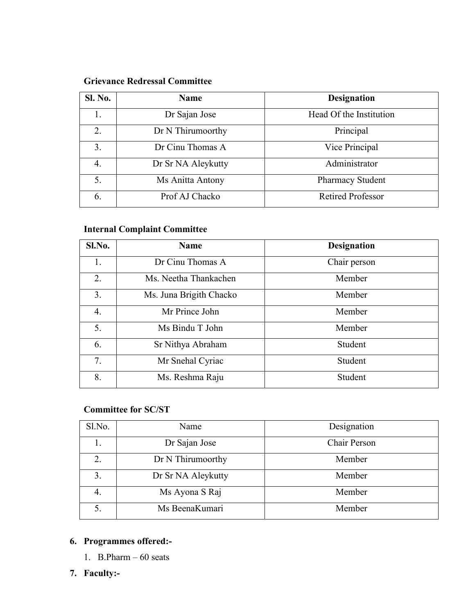### **Grievance Redressal Committee**

### **Internal Complaint Committee**

| Sl.No. | <b>Name</b>             | <b>Designation</b> |
|--------|-------------------------|--------------------|
| 1.     | Dr Cinu Thomas A        | Chair person       |
| 2.     | Ms. Neetha Thankachen   | Member             |
| 3.     | Ms. Juna Brigith Chacko | Member             |
| 4.     | Mr Prince John          | Member             |
| 5.     | Ms Bindu T John         | Member             |
| 6.     | Sr Nithya Abraham       | Student            |
| 7.     | Mr Snehal Cyriac        | Student            |
| 8.     | Ms. Reshma Raju         | Student            |
|        |                         |                    |

### **Committee for SC/ST**

| Sl.No. | Name               | Designation  |
|--------|--------------------|--------------|
|        | Dr Sajan Jose      | Chair Person |
| 2.     | Dr N Thirumoorthy  | Member       |
| 3.     | Dr Sr NA Aleykutty | Member       |
| 4.     | Ms Ayona S Raj     | Member       |
|        | Ms BeenaKumari     | Member       |

### **6. Programmes offered:-**

- 1. B.Pharm  $-60$  seats
- **7. Faculty:-**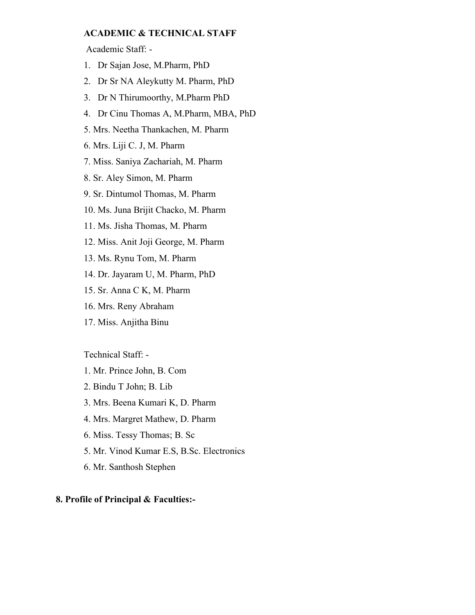#### **ACADEMIC & TECHNICAL STAFF**

Academic Staff: -

- 1. Dr Sajan Jose, M.Pharm, PhD
- 2. Dr Sr NA Aleykutty M. Pharm, PhD
- 3. Dr N Thirumoorthy, M.Pharm PhD
- 4. Dr Cinu Thomas A, M.Pharm, MBA, PhD
- 5. Mrs. Neetha Thankachen, M. Pharm
- 6. Mrs. Liji C. J, M. Pharm
- 7. Miss. Saniya Zachariah, M. Pharm
- 8. Sr. Aley Simon, M. Pharm
- 9. Sr. Dintumol Thomas, M. Pharm
- 10. Ms. Juna Brijit Chacko, M. Pharm
- 11. Ms. Jisha Thomas, M. Pharm
- 12. Miss. Anit Joji George, M. Pharm
- 13. Ms. Rynu Tom, M. Pharm
- 14. Dr. Jayaram U, M. Pharm, PhD
- 15. Sr. Anna C K, M. Pharm
- 16. Mrs. Reny Abraham
- 17. Miss. Anjitha Binu

Technical Staff: -

- 1. Mr. Prince John, B. Com
- 2. Bindu T John; B. Lib
- 3. Mrs. Beena Kumari K, D. Pharm
- 4. Mrs. Margret Mathew, D. Pharm
- 6. Miss. Tessy Thomas; B. Sc
- 5. Mr. Vinod Kumar E.S, B.Sc. Electronics
- 6. Mr. Santhosh Stephen

#### **8. Profile of Principal & Faculties:-**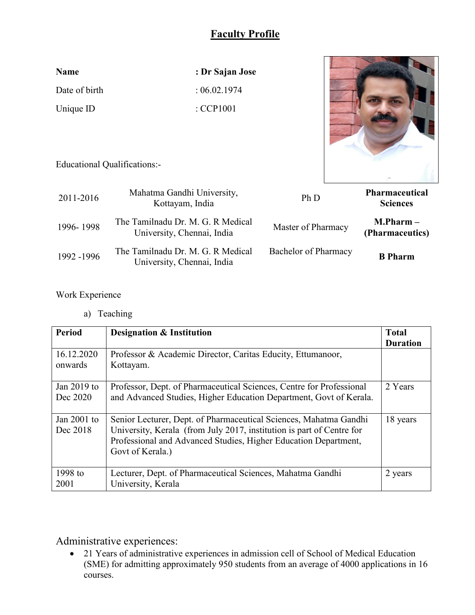| <b>Name</b>   | : Dr Sajan Jose      |  |
|---------------|----------------------|--|
| Date of birth | : 06.02.1974         |  |
| Unique ID     | $\therefore$ CCP1001 |  |



Educational Qualifications:-

| 2011-2016  | Mahatma Gandhi University,<br>Kottayam, India                   | Ph D                 | <b>Pharmaceutical</b><br><b>Sciences</b> |
|------------|-----------------------------------------------------------------|----------------------|------------------------------------------|
| 1996-1998  | The Tamilnadu Dr. M. G. R Medical<br>University, Chennai, India | Master of Pharmacy   | $M.Pharm -$<br>(Pharmaceutics)           |
| 1992 -1996 | The Tamilnadu Dr. M. G. R Medical<br>University, Chennai, India | Bachelor of Pharmacy | <b>B</b> Pharm                           |

Work Experience

a) Teaching

| <b>Period</b>             | <b>Designation &amp; Institution</b>                                                                                                                                                                                              | <b>Total</b><br><b>Duration</b> |
|---------------------------|-----------------------------------------------------------------------------------------------------------------------------------------------------------------------------------------------------------------------------------|---------------------------------|
| 16.12.2020<br>onwards     | Professor & Academic Director, Caritas Educity, Ettumanoor,<br>Kottayam.                                                                                                                                                          |                                 |
| Jan 2019 to<br>Dec 2020   | Professor, Dept. of Pharmaceutical Sciences, Centre for Professional<br>and Advanced Studies, Higher Education Department, Govt of Kerala.                                                                                        | 2 Years                         |
| Jan $2001$ to<br>Dec 2018 | Senior Lecturer, Dept. of Pharmaceutical Sciences, Mahatma Gandhi<br>University, Kerala (from July 2017, institution is part of Centre for<br>Professional and Advanced Studies, Higher Education Department,<br>Govt of Kerala.) | 18 years                        |
| 1998 to<br>2001           | Lecturer, Dept. of Pharmaceutical Sciences, Mahatma Gandhi<br>University, Kerala                                                                                                                                                  | 2 years                         |

Administrative experiences:

• 21 Years of administrative experiences in admission cell of School of Medical Education (SME) for admitting approximately 950 students from an average of 4000 applications in 16 courses.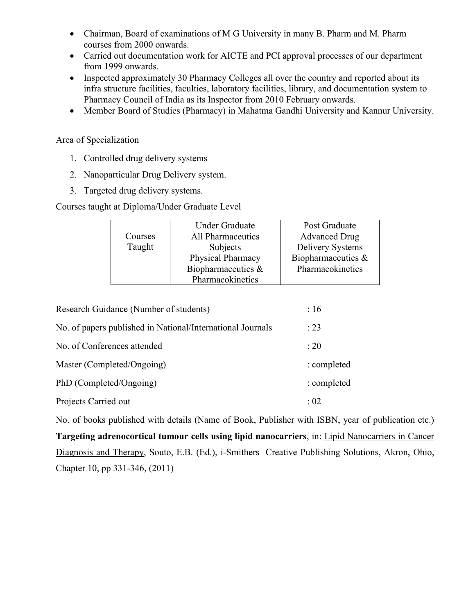- Chairman, Board of examinations of M G University in many B. Pharm and M. Pharm courses from 2000 onwards.
- Carried out documentation work for AICTE and PCI approval processes of our department from 1999 onwards.
- Inspected approximately 30 Pharmacy Colleges all over the country and reported about its infra structure facilities, faculties, laboratory facilities, library, and documentation system to Pharmacy Council of India as its Inspector from 2010 February onwards.
- Member Board of Studies (Pharmacy) in Mahatma Gandhi University and Kannur University.

#### Area of Specialization

- 1. Controlled drug delivery systems
- 2. Nanoparticular Drug Delivery system.
- 3. Targeted drug delivery systems.

Courses taught at Diploma/Under Graduate Level

|         | <b>Under Graduate</b> | Post Graduate           |
|---------|-----------------------|-------------------------|
| Courses | All Pharmaceutics     | <b>Advanced Drug</b>    |
| Taught  | Subjects              | <b>Delivery Systems</b> |
|         | Physical Pharmacy     | Biopharmaceutics $\&$   |
|         | Biopharmaceutics $\&$ | Pharmacokinetics        |
|         | Pharmacokinetics      |                         |

| Research Guidance (Number of students)                     | :16         |
|------------------------------------------------------------|-------------|
| No. of papers published in National/International Journals | : 23        |
| No. of Conferences attended                                | : 20        |
| Master (Completed/Ongoing)                                 | : completed |
| PhD (Completed/Ongoing)                                    | : completed |
| Projects Carried out                                       | :02         |

No. of books published with details (Name of Book, Publisher with ISBN, year of publication etc.) **Targeting adrenocortical tumour cells using lipid nanocarriers**, in: Lipid Nanocarriers in Cancer Diagnosis and Therapy, Souto, E.B. (Ed.), i-Smithers Creative Publishing Solutions, Akron, Ohio, Chapter 10, pp 331-346, (2011)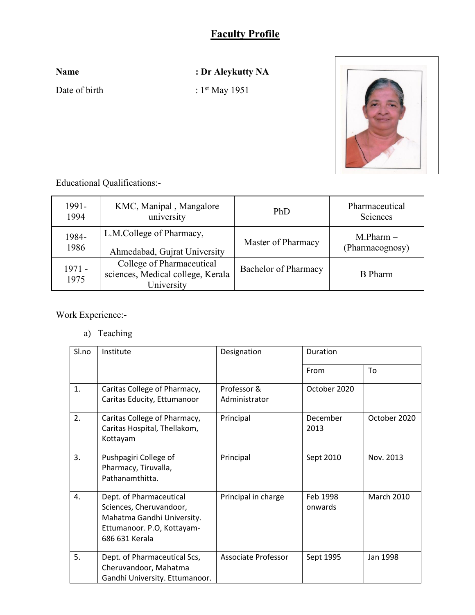**Name : Dr Aleykutty NA**

Date of birth  $: 1^{st}$  May 1951



Educational Qualifications:-

| 1991-          | KMC, Manipal, Mangalore                                                      | PhD                  | Pharmaceutical  |
|----------------|------------------------------------------------------------------------------|----------------------|-----------------|
| 1994           | university                                                                   |                      | Sciences        |
| 1984-          | L.M.College of Pharmacy,                                                     | Master of Pharmacy   | $M.Pharm -$     |
| 1986           | Ahmedabad, Gujrat University                                                 |                      | (Pharmacognosy) |
| 1971 -<br>1975 | College of Pharmaceutical<br>sciences, Medical college, Kerala<br>University | Bachelor of Pharmacy | <b>B</b> Pharm  |

Work Experience:-

a) Teaching

| Sl.no | Institute                                                                                                                        | Designation                  | Duration            |                   |
|-------|----------------------------------------------------------------------------------------------------------------------------------|------------------------------|---------------------|-------------------|
|       |                                                                                                                                  |                              | From                | To                |
| 1.    | Caritas College of Pharmacy,<br>Caritas Educity, Ettumanoor                                                                      | Professor &<br>Administrator | October 2020        |                   |
| 2.    | Caritas College of Pharmacy,<br>Caritas Hospital, Thellakom,<br>Kottayam                                                         | Principal                    | December<br>2013    | October 2020      |
| 3.    | Pushpagiri College of<br>Pharmacy, Tiruvalla,<br>Pathanamthitta.                                                                 | Principal                    | Sept 2010           | Nov. 2013         |
| 4.    | Dept. of Pharmaceutical<br>Sciences, Cheruvandoor,<br>Mahatma Gandhi University.<br>Ettumanoor. P.O, Kottayam-<br>686 631 Kerala | Principal in charge          | Feb 1998<br>onwards | <b>March 2010</b> |
| 5.    | Dept. of Pharmaceutical Scs,<br>Cheruvandoor, Mahatma<br>Gandhi University. Ettumanoor.                                          | Associate Professor          | Sept 1995           | Jan 1998          |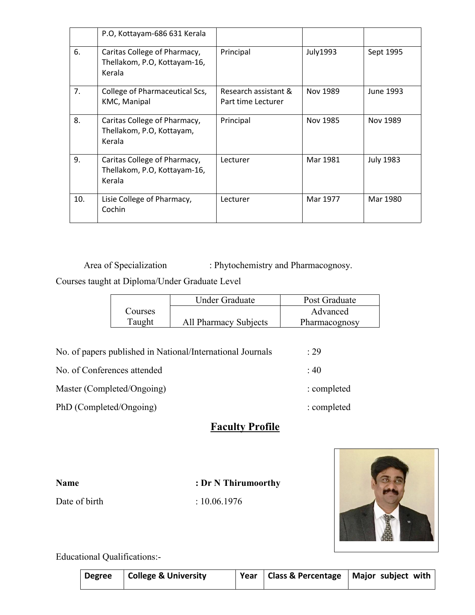| P.O, Kottayam-686 631 Kerala<br>6.<br>Principal<br>July1993<br>Caritas College of Pharmacy,<br>Sept 1995<br>Thellakom, P.O, Kottayam-16,<br>Kerala<br>7.<br>College of Pharmaceutical Scs,<br>Research assistant &<br>Nov 1989<br>June 1993<br>KMC, Manipal<br>Part time Lecturer<br>8.<br>Caritas College of Pharmacy,<br>Principal<br>Nov 1985<br>Nov 1989<br>Thellakom, P.O, Kottayam,<br>Kerala<br>9.<br>Caritas College of Pharmacy,<br>Mar 1981<br><b>July 1983</b><br>Lecturer<br>Thellakom, P.O, Kottayam-16,<br>Kerala<br>10.<br>Lisie College of Pharmacy,<br>Mar 1977<br>Mar 1980<br>Lecturer<br>Cochin |  |  |  |
|--------------------------------------------------------------------------------------------------------------------------------------------------------------------------------------------------------------------------------------------------------------------------------------------------------------------------------------------------------------------------------------------------------------------------------------------------------------------------------------------------------------------------------------------------------------------------------------------------------------------|--|--|--|
|                                                                                                                                                                                                                                                                                                                                                                                                                                                                                                                                                                                                                    |  |  |  |
|                                                                                                                                                                                                                                                                                                                                                                                                                                                                                                                                                                                                                    |  |  |  |
|                                                                                                                                                                                                                                                                                                                                                                                                                                                                                                                                                                                                                    |  |  |  |
|                                                                                                                                                                                                                                                                                                                                                                                                                                                                                                                                                                                                                    |  |  |  |
|                                                                                                                                                                                                                                                                                                                                                                                                                                                                                                                                                                                                                    |  |  |  |
|                                                                                                                                                                                                                                                                                                                                                                                                                                                                                                                                                                                                                    |  |  |  |

Area of Specialization : Phytochemistry and Pharmacognosy.

Courses taught at Diploma/Under Graduate Level

|         | Under Graduate        | Post Graduate |
|---------|-----------------------|---------------|
| Courses |                       | Advanced      |
| Taught  | All Pharmacy Subjects | Pharmacognosy |

| No. of papers published in National/International Journals | .29         |
|------------------------------------------------------------|-------------|
| No. of Conferences attended                                | : 40        |
| Master (Completed/Ongoing)                                 | : completed |
| PhD (Completed/Ongoing)                                    | : completed |

# **Faculty Profile**

| <b>Name</b>   | : Dr N Thirumoorthy |
|---------------|---------------------|
| Date of birth | : 10.06.1976        |



Educational Qualifications:-

|  | Degree   College & University |  | Year   Class & Percentage   Major subject with $\vdash$ |
|--|-------------------------------|--|---------------------------------------------------------|
|  |                               |  |                                                         |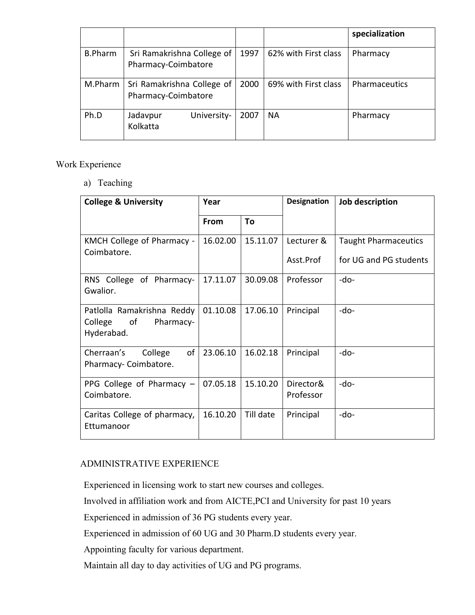|                |                                                   |      |                      | specialization |
|----------------|---------------------------------------------------|------|----------------------|----------------|
| <b>B.Pharm</b> | Sri Ramakrishna College of<br>Pharmacy-Coimbatore | 1997 | 62% with First class | Pharmacy       |
| M.Pharm        | Sri Ramakrishna College of<br>Pharmacy-Coimbatore | 2000 | 69% with First class | Pharmaceutics  |
| Ph.D           | University-<br>Jadavpur<br>Kolkatta               | 2007 | <b>NA</b>            | Pharmacy       |

Work Experience

a) Teaching

| <b>College &amp; University</b>                                        | Year        |           | <b>Designation</b>      | Job description                                       |  |
|------------------------------------------------------------------------|-------------|-----------|-------------------------|-------------------------------------------------------|--|
|                                                                        | <b>From</b> | To        |                         |                                                       |  |
| KMCH College of Pharmacy -<br>Coimbatore.                              | 16.02.00    | 15.11.07  | Lecturer &<br>Asst.Prof | <b>Taught Pharmaceutics</b><br>for UG and PG students |  |
| RNS College of Pharmacy-<br>Gwalior.                                   | 17.11.07    | 30.09.08  | Professor               | -do-                                                  |  |
| Patlolla Ramakrishna Reddy<br>College<br>of<br>Pharmacy-<br>Hyderabad. | 01.10.08    | 17.06.10  | Principal               | -do-                                                  |  |
| Cherraan's<br>of<br>College<br>Pharmacy-Coimbatore.                    | 23.06.10    | 16.02.18  | Principal               | -do-                                                  |  |
| PPG College of Pharmacy $-$<br>Coimbatore.                             | 07.05.18    | 15.10.20  | Director&<br>Professor  | -do-                                                  |  |
| Caritas College of pharmacy,<br>Ettumanoor                             | 16.10.20    | Till date | Principal               | -do-                                                  |  |

### ADMINISTRATIVE EXPERIENCE

Experienced in licensing work to start new courses and colleges.

Involved in affiliation work and from AICTE,PCI and University for past 10 years

Experienced in admission of 36 PG students every year.

Experienced in admission of 60 UG and 30 Pharm.D students every year.

Appointing faculty for various department.

Maintain all day to day activities of UG and PG programs.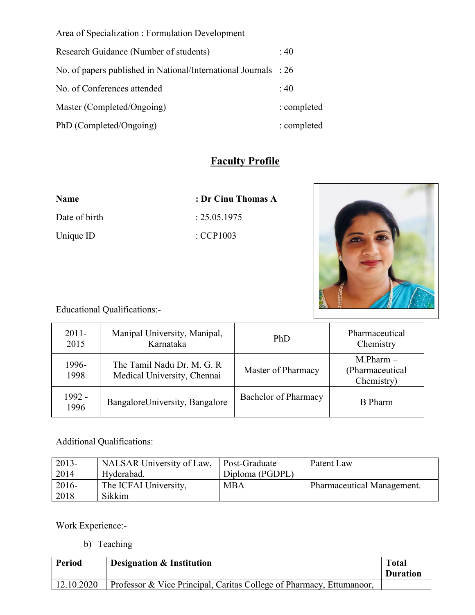Area of Specialization : Formulation Development

| Research Guidance (Number of students)                                     | : 40        |
|----------------------------------------------------------------------------|-------------|
| No. of papers published in National/International Journals $\therefore$ 26 |             |
| No. of Conferences attended                                                | : 40        |
| Master (Completed/Ongoing)                                                 | : completed |
| PhD (Completed/Ongoing)                                                    | : completed |

# **Faculty Profile**

**Name : Dr Cinu Thomas A**

 $: 25.05.1975$ 

 $\ldots$ CCP1003

| Name          |  |
|---------------|--|
| Date of birth |  |
| Unique ID     |  |



Educational Qualifications:-

| $2011 -$<br>2015 | Manipal University, Manipal,<br>Karnataka                 | PhD                  | Pharmaceutical<br>Chemistry                  |
|------------------|-----------------------------------------------------------|----------------------|----------------------------------------------|
| 1996-<br>1998    | The Tamil Nadu Dr. M. G. R<br>Medical University, Chennai | Master of Pharmacy   | $M.Pharm -$<br>(Pharmaceutical<br>Chemistry) |
| 1992 -<br>1996   | BangaloreUniversity, Bangalore                            | Bachelor of Pharmacy | <b>B</b> Pharm                               |

### Additional Qualifications:

| $12013-$ | NALSAR University of Law, | Post-Graduate   | Patent Law                 |
|----------|---------------------------|-----------------|----------------------------|
| 2014     | Hyderabad.                | Diploma (PGDPL) |                            |
| $12016-$ | The ICFAI University,     | <b>MBA</b>      | Pharmaceutical Management. |
| 2018     | Sikkim                    |                 |                            |

Work Experience:-

b) Teaching

| Period     | <b>Designation &amp; Institution</b>                                 | <b>Total</b><br><b>Duration</b> |
|------------|----------------------------------------------------------------------|---------------------------------|
| 12.10.2020 | Professor & Vice Principal, Caritas College of Pharmacy, Ettumanoor, |                                 |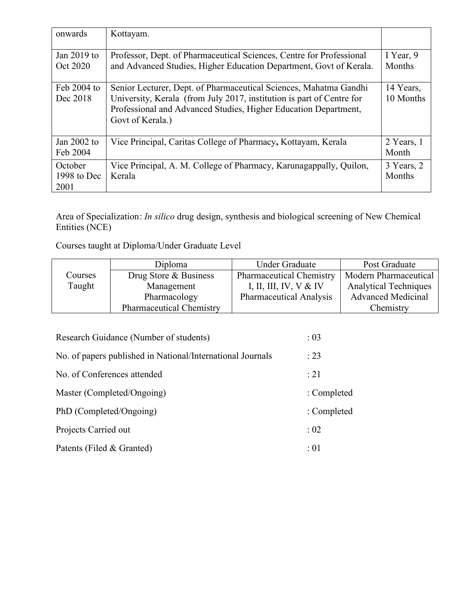| onwards                        | Kottayam.                                                                                                                                                                                                                         |                        |
|--------------------------------|-----------------------------------------------------------------------------------------------------------------------------------------------------------------------------------------------------------------------------------|------------------------|
| Jan 2019 to<br>Oct 2020        | Professor, Dept. of Pharmaceutical Sciences, Centre for Professional<br>and Advanced Studies, Higher Education Department, Govt of Kerala.                                                                                        | I Year, 9<br>Months    |
| Feb 2004 to<br>Dec 2018        | Senior Lecturer, Dept. of Pharmaceutical Sciences, Mahatma Gandhi<br>University, Kerala (from July 2017, institution is part of Centre for<br>Professional and Advanced Studies, Higher Education Department,<br>Govt of Kerala.) | 14 Years,<br>10 Months |
| Jan 2002 to<br>Feb 2004        | Vice Principal, Caritas College of Pharmacy, Kottayam, Kerala                                                                                                                                                                     | 2 Years, 1<br>Month    |
| October<br>1998 to Dec<br>2001 | Vice Principal, A. M. College of Pharmacy, Karunagappally, Quilon,<br>Kerala                                                                                                                                                      | 3 Years, 2<br>Months   |

Area of Specialization: *In silico* drug design, synthesis and biological screening of New Chemical Entities (NCE)

Courses taught at Diploma/Under Graduate Level

|         | Diploma                         | <b>Under Graduate</b>           | Post Graduate                |
|---------|---------------------------------|---------------------------------|------------------------------|
| Courses | Drug Store & Business           | <b>Pharmaceutical Chemistry</b> | Modern Pharmaceutical        |
| Taught  | Management                      | I, II, III, IV, V & IV          | <b>Analytical Techniques</b> |
|         | Pharmacology                    | <b>Pharmaceutical Analysis</b>  | <b>Advanced Medicinal</b>    |
|         | <b>Pharmaceutical Chemistry</b> |                                 | Chemistry                    |

| Research Guidance (Number of students)                     | : 03        |
|------------------------------------------------------------|-------------|
| No. of papers published in National/International Journals | : 23        |
| No. of Conferences attended                                | : 21        |
| Master (Completed/Ongoing)                                 | : Completed |
| PhD (Completed/Ongoing)                                    | : Completed |
| Projects Carried out                                       | $\div 02$   |
| Patents (Filed & Granted)                                  | :01         |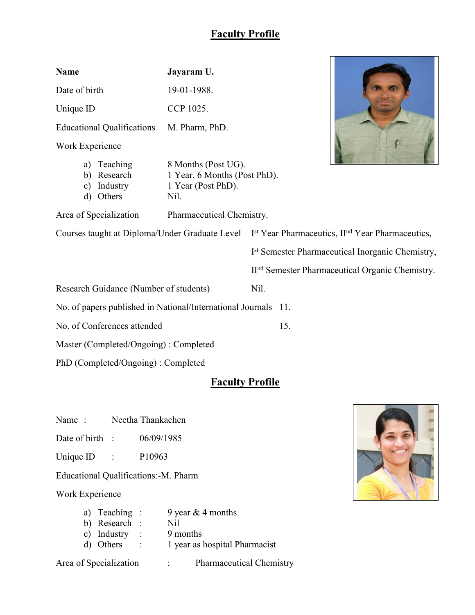П

| <b>Name</b>                                         |                                               | Jayaram U.                                                                        |                                                                                                                         |                                                             |  |  |
|-----------------------------------------------------|-----------------------------------------------|-----------------------------------------------------------------------------------|-------------------------------------------------------------------------------------------------------------------------|-------------------------------------------------------------|--|--|
| Date of birth                                       |                                               | 19-01-1988.                                                                       |                                                                                                                         |                                                             |  |  |
| CCP 1025.<br>Unique ID                              |                                               |                                                                                   |                                                                                                                         |                                                             |  |  |
| <b>Educational Qualifications</b><br>M. Pharm, PhD. |                                               |                                                                                   |                                                                                                                         |                                                             |  |  |
| Work Experience                                     |                                               |                                                                                   |                                                                                                                         |                                                             |  |  |
| b)<br>$\mathbf{c})$<br>$\mathbf{d}$                 | a) Teaching<br>Research<br>Industry<br>Others | 8 Months (Post UG).<br>1 Year, 6 Months (Post PhD).<br>1 Year (Post PhD).<br>Nil. |                                                                                                                         |                                                             |  |  |
|                                                     | Area of Specialization                        | Pharmaceutical Chemistry.                                                         |                                                                                                                         |                                                             |  |  |
|                                                     |                                               |                                                                                   | Courses taught at Diploma/Under Graduate Level I <sup>st</sup> Year Pharmaceutics, II <sup>nd</sup> Year Pharmaceutics, |                                                             |  |  |
|                                                     |                                               |                                                                                   |                                                                                                                         | Ist Semester Pharmaceutical Inorganic Chemistry,            |  |  |
|                                                     |                                               |                                                                                   |                                                                                                                         | II <sup>nd</sup> Semester Pharmaceutical Organic Chemistry. |  |  |
|                                                     | Research Guidance (Number of students)        |                                                                                   | Nil.                                                                                                                    |                                                             |  |  |
|                                                     |                                               | No. of papers published in National/International Journals 11.                    |                                                                                                                         |                                                             |  |  |
| No. of Conferences attended                         |                                               |                                                                                   | 15.                                                                                                                     |                                                             |  |  |
| Master (Completed/Ongoing) : Completed              |                                               |                                                                                   |                                                                                                                         |                                                             |  |  |
|                                                     | PhD (Completed/Ongoing) : Completed           |                                                                                   |                                                                                                                         |                                                             |  |  |

# **Faculty Profile**

Name : Neetha Thankachen

Date of birth : 06/09/1985

Unique ID : P10963

Educational Qualifications:-M. Pharm

Work Experience

| a) Teaching : | 9 year $&$ 4 months           |
|---------------|-------------------------------|
| b) Research : | Nil                           |
| c) Industry : | 9 months                      |
| d) Others :   | 1 year as hospital Pharmacist |
|               |                               |

Area of Specialization : Pharmaceutical Chemistry

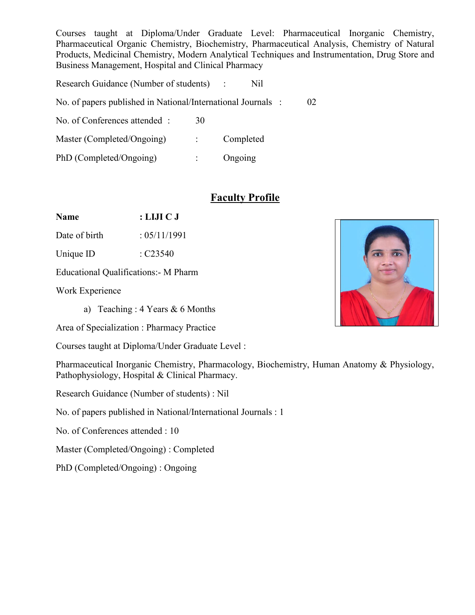Courses taught at Diploma/Under Graduate Level: Pharmaceutical Inorganic Chemistry, Pharmaceutical Organic Chemistry, Biochemistry, Pharmaceutical Analysis, Chemistry of Natural Products, Medicinal Chemistry, Modern Analytical Techniques and Instrumentation, Drug Store and Business Management, Hospital and Clinical Pharmacy

Research Guidance (Number of students) : Nil

No. of papers published in National/International Journals : 02

No. of Conferences attended : 30

Master (Completed/Ongoing) : Completed

PhD (Completed/Ongoing) : Ongoing

### **Faculty Profile**

**Name : LIJI C J**

Date of birth : 05/11/1991

Unique ID : C23540

Educational Qualifications:- M Pharm

Work Experience

a) Teaching : 4 Years & 6 Months

Area of Specialization : Pharmacy Practice

Courses taught at Diploma/Under Graduate Level :

Pharmaceutical Inorganic Chemistry, Pharmacology, Biochemistry, Human Anatomy & Physiology, Pathophysiology, Hospital & Clinical Pharmacy.

Research Guidance (Number of students) : Nil

No. of papers published in National/International Journals : 1

No. of Conferences attended : 10

Master (Completed/Ongoing) : Completed

PhD (Completed/Ongoing) : Ongoing

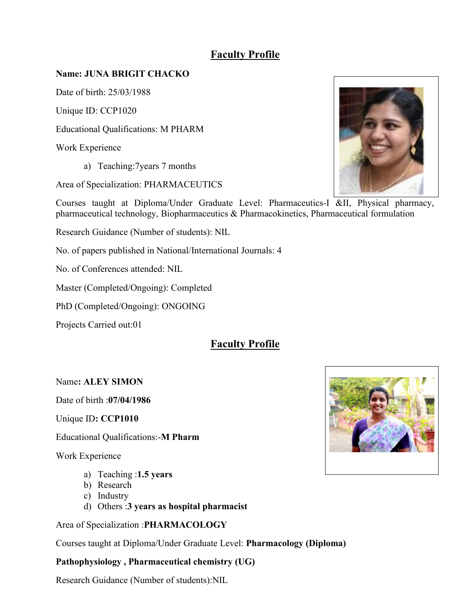### **Name: JUNA BRIGIT CHACKO**

Date of birth: 25/03/1988

Unique ID: CCP1020

Educational Qualifications: M PHARM

Work Experience

a) Teaching:7years 7 months

Area of Specialization: PHARMACEUTICS

Courses taught at Diploma/Under Graduate Level: Pharmaceutics-I &II, Physical pharmacy, pharmaceutical technology, Biopharmaceutics & Pharmacokinetics, Pharmaceutical formulation

Research Guidance (Number of students): NIL

No. of papers published in National/International Journals: 4

No. of Conferences attended: NIL

Master (Completed/Ongoing): Completed

PhD (Completed/Ongoing): ONGOING

Projects Carried out:01

## **Faculty Profile**

### Name**: ALEY SIMON**

Date of birth :**07/04/1986**

Unique ID**: CCP1010**

Educational Qualifications:-**M Pharm**

Work Experience

- a) Teaching :**1.5 years**
- b) Research
- c) Industry
- d) Others :**3 years as hospital pharmacist**

Area of Specialization :**PHARMACOLOGY**

Courses taught at Diploma/Under Graduate Level: **Pharmacology (Diploma)**

### **Pathophysiology , Pharmaceutical chemistry (UG)**

Research Guidance (Number of students):NIL



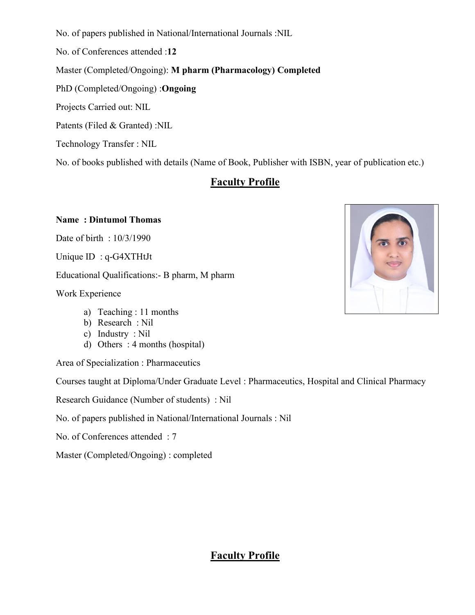No. of papers published in National/International Journals :NIL

No. of Conferences attended :**12**

Master (Completed/Ongoing): **M pharm (Pharmacology) Completed**

PhD (Completed/Ongoing) :**Ongoing**

Projects Carried out: NIL

Patents (Filed & Granted) :NIL

Technology Transfer : NIL

No. of books published with details (Name of Book, Publisher with ISBN, year of publication etc.)

### **Faculty Profile**

#### **Name : Dintumol Thomas**

Date of birth : 10/3/1990

Unique ID : q-G4XTHtJt

Educational Qualifications:- B pharm, M pharm

Work Experience

- a) Teaching : 11 months
- b) Research : Nil
- c) Industry : Nil
- d) Others : 4 months (hospital)

Area of Specialization : Pharmaceutics

Courses taught at Diploma/Under Graduate Level : Pharmaceutics, Hospital and Clinical Pharmacy

Research Guidance (Number of students) : Nil

No. of papers published in National/International Journals : Nil

No. of Conferences attended : 7

Master (Completed/Ongoing) : completed



### **Faculty Profile**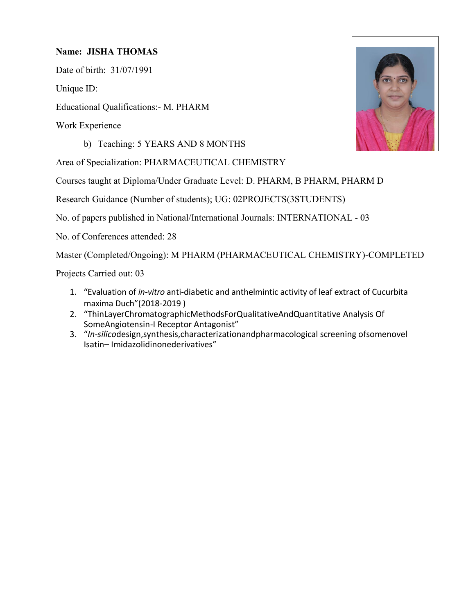### **Name: JISHA THOMAS**

Date of birth: 31/07/1991

Unique ID:

Educational Qualifications:- M. PHARM

Work Experience

b) Teaching: 5 YEARS AND 8 MONTHS

Area of Specialization: PHARMACEUTICAL CHEMISTRY

Courses taught at Diploma/Under Graduate Level: D. PHARM, B PHARM, PHARM D

Research Guidance (Number of students); UG: 02PROJECTS(3STUDENTS)

No. of papers published in National/International Journals: INTERNATIONAL - 03

No. of Conferences attended: 28

Master (Completed/Ongoing): M PHARM (PHARMACEUTICAL CHEMISTRY)-COMPLETED

Projects Carried out: 03

- 1. "Evaluation of *in-vitro* anti-diabetic and anthelmintic activity of leaf extract of Cucurbita maxima Duch"(2018-2019 )
- 2. "ThinLayerChromatographicMethodsForQualitativeAndQuantitative Analysis Of SomeAngiotensin-I Receptor Antagonist"
- 3. "*In-silico*design,synthesis,characterizationandpharmacological screening ofsomenovel Isatin– Imidazolidinonederivatives"

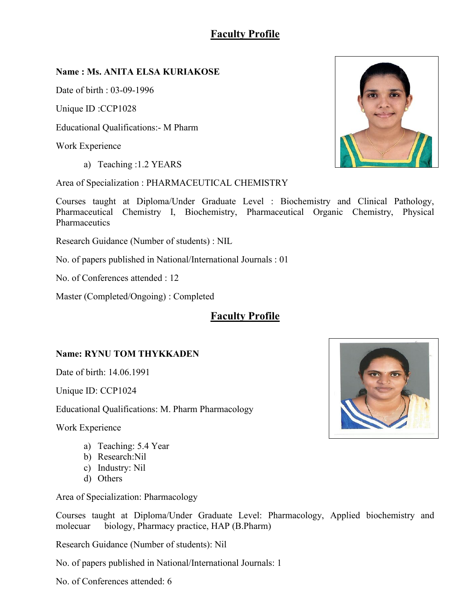### **Name : Ms. ANITA ELSA KURIAKOSE**

Date of birth : 03-09-1996

Unique ID :CCP1028

Educational Qualifications:- M Pharm

Work Experience

a) Teaching :1.2 YEARS

Area of Specialization : PHARMACEUTICAL CHEMISTRY

Courses taught at Diploma/Under Graduate Level : Biochemistry and Clinical Pathology, Pharmaceutical Chemistry I, Biochemistry, Pharmaceutical Organic Chemistry, Physical Pharmaceutics

Research Guidance (Number of students) : NIL

No. of papers published in National/International Journals : 01

No. of Conferences attended : 12

Master (Completed/Ongoing) : Completed

### **Faculty Profile**

### **Name: RYNU TOM THYKKADEN**

Date of birth: 14.06.1991

Unique ID: CCP1024

Educational Qualifications: M. Pharm Pharmacology

Work Experience

- a) Teaching: 5.4 Year
- b) Research:Nil
- c) Industry: Nil
- d) Others

Area of Specialization: Pharmacology

Courses taught at Diploma/Under Graduate Level: Pharmacology, Applied biochemistry and molecuar biology, Pharmacy practice, HAP (B.Pharm)

Research Guidance (Number of students): Nil

No. of papers published in National/International Journals: 1

No. of Conferences attended: 6



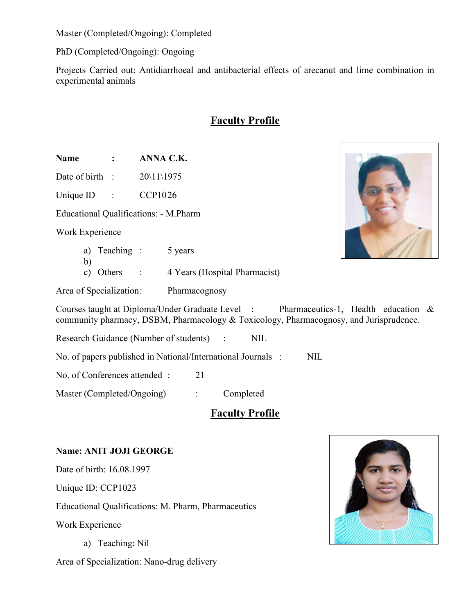Master (Completed/Ongoing): Completed

PhD (Completed/Ongoing): Ongoing

Projects Carried out: Antidiarrhoeal and antibacterial effects of arecanut and lime combination in experimental animals

## **Faculty Profile**

**Name : ANNA C.K.**

Date of birth :  $20\frac{11}{1975}$ 

Unique ID : CCP1026

Educational Qualifications: - M.Pharm

Work Experience

b)

- a) Teaching : 5 years
- c) Others : 4 Years (Hospital Pharmacist)

Area of Specialization: Pharmacognosy

Courses taught at Diploma/Under Graduate Level : Pharmaceutics-1, Health education & community pharmacy, DSBM, Pharmacology & Toxicology, Pharmacognosy, and Jurisprudence.

Research Guidance (Number of students) : NIL

No. of papers published in National/International Journals : NIL

No. of Conferences attended : 21

Master (Completed/Ongoing) : Completed

### **Faculty Profile**

### **Name: ANIT JOJI GEORGE**

Date of birth: 16.08.1997

Unique ID: CCP1023

Educational Qualifications: M. Pharm, Pharmaceutics

Work Experience

a) Teaching: Nil

Area of Specialization: Nano-drug delivery



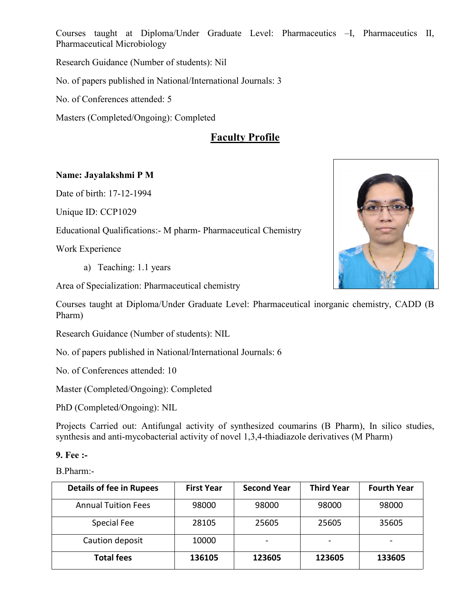Courses taught at Diploma/Under Graduate Level: Pharmaceutics –I, Pharmaceutics II, Pharmaceutical Microbiology

Research Guidance (Number of students): Nil

No. of papers published in National/International Journals: 3

No. of Conferences attended: 5

Masters (Completed/Ongoing): Completed

## **Faculty Profile**

### **Name: Jayalakshmi P M**

Date of birth: 17-12-1994

Unique ID: CCP1029

Educational Qualifications:- M pharm- Pharmaceutical Chemistry

Work Experience

a) Teaching: 1.1 years

Area of Specialization: Pharmaceutical chemistry

Courses taught at Diploma/Under Graduate Level: Pharmaceutical inorganic chemistry, CADD (B Pharm)

Research Guidance (Number of students): NIL

No. of papers published in National/International Journals: 6

No. of Conferences attended: 10

Master (Completed/Ongoing): Completed

PhD (Completed/Ongoing): NIL

Projects Carried out: Antifungal activity of synthesized coumarins (B Pharm), In silico studies, synthesis and anti-mycobacterial activity of novel 1,3,4-thiadiazole derivatives (M Pharm)

#### **9. Fee :-**

B.Pharm:-

| <b>Details of fee in Rupees</b> | <b>First Year</b> | <b>Second Year</b> | <b>Third Year</b> | <b>Fourth Year</b> |
|---------------------------------|-------------------|--------------------|-------------------|--------------------|
| <b>Annual Tuition Fees</b>      | 98000             | 98000              | 98000             | 98000              |
| Special Fee                     | 28105             | 25605              | 25605             | 35605              |
| Caution deposit                 | 10000             | $\blacksquare$     |                   |                    |
| <b>Total fees</b>               | 136105            | 123605             | 123605            | 133605             |

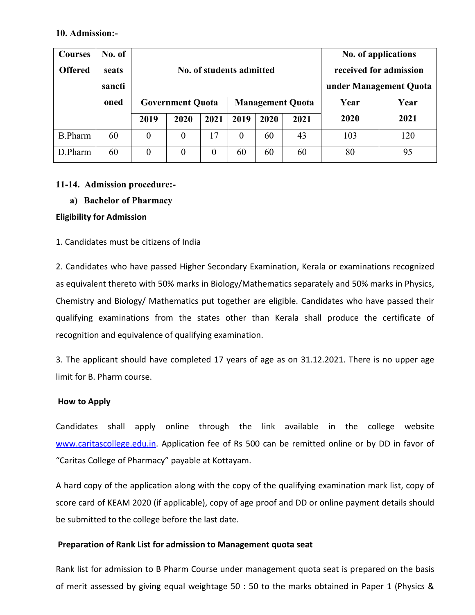#### **10. Admission:-**

| <b>Courses</b><br><b>Offered</b> | No. of<br>seats<br>sancti |                  |                                                    | No. of applications<br>received for admission<br>No. of students admitted<br>under Management Quota |      |      |      |      |      |
|----------------------------------|---------------------------|------------------|----------------------------------------------------|-----------------------------------------------------------------------------------------------------|------|------|------|------|------|
|                                  | oned                      |                  | <b>Management Quota</b><br><b>Government Quota</b> |                                                                                                     | Year | Year |      |      |      |
|                                  |                           | 2019             | 2020                                               | 2021                                                                                                | 2019 | 2020 | 2021 | 2020 | 2021 |
| <b>B.Pharm</b>                   | 60                        | $\theta$         | $\boldsymbol{0}$                                   | 17                                                                                                  | 0    | 60   | 43   | 103  | 120  |
| D.Pharm                          | 60                        | $\boldsymbol{0}$ | $\boldsymbol{0}$                                   | $\overline{0}$                                                                                      | 60   | 60   | 60   | 80   | 95   |

#### **11-14. Admission procedure:-**

**a) Bachelor of Pharmacy**

#### **Eligibility for Admission**

#### 1. Candidates must be citizens of India

2. Candidates who have passed Higher Secondary Examination, Kerala or examinations recognized as equivalent thereto with 50% marks in Biology/Mathematics separately and 50% marks in Physics, Chemistry and Biology/ Mathematics put together are eligible. Candidates who have passed their qualifying examinations from the states other than Kerala shall produce the certificate of recognition and equivalence of qualifying examination.

3. The applicant should have completed 17 years of age as on 31.12.2021. There is no upper age limit for B. Pharm course.

#### **How to Apply**

Candidates shall apply online through the link available in the college website [www.caritascollege.edu.in](http://www.caritascollege.edu.in). Application fee of Rs 500 can be remitted online or by DD in favor of "Caritas College of Pharmacy" payable at Kottayam.

A hard copy of the application along with the copy of the qualifying examination mark list, copy of score card of KEAM 2020 (if applicable), copy of age proof and DD or online payment details should be submitted to the college before the last date.

### **Preparation of Rank List for admission to Management quota seat**

Rank list for admission to B Pharm Course under management quota seat is prepared on the basis of merit assessed by giving equal weightage 50 : 50 to the marks obtained in Paper 1 (Physics &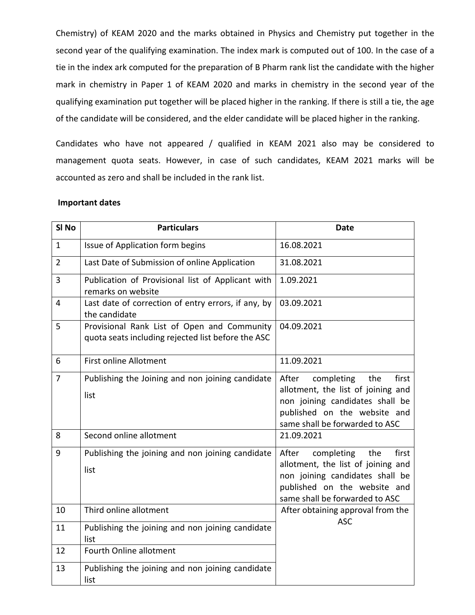Chemistry) of KEAM 2020 and the marks obtained in Physics and Chemistry put together in the second year of the qualifying examination. The index mark is computed out of 100. In the case of a tie in the index ark computed for the preparation of B Pharm rank list the candidate with the higher mark in chemistry in Paper 1 of KEAM 2020 and marks in chemistry in the second year of the qualifying examination put together will be placed higher in the ranking. If there is still a tie, the age of the candidate will be considered, and the elder candidate will be placed higher in the ranking.

Candidates who have not appeared / qualified in KEAM 2021 also may be considered to management quota seats. However, in case of such candidates, KEAM 2021 marks will be accounted as zero and shall be included in the rank list.

#### **Important dates**

| SI No          | <b>Particulars</b>                                                                                | <b>Date</b>                                                                                                                                                                    |
|----------------|---------------------------------------------------------------------------------------------------|--------------------------------------------------------------------------------------------------------------------------------------------------------------------------------|
| $\mathbf{1}$   | Issue of Application form begins                                                                  | 16.08.2021                                                                                                                                                                     |
| $\overline{2}$ | Last Date of Submission of online Application                                                     | 31.08.2021                                                                                                                                                                     |
| $\overline{3}$ | Publication of Provisional list of Applicant with<br>remarks on website                           | 1.09.2021                                                                                                                                                                      |
| $\overline{4}$ | Last date of correction of entry errors, if any, by<br>the candidate                              | 03.09.2021                                                                                                                                                                     |
| 5              | Provisional Rank List of Open and Community<br>quota seats including rejected list before the ASC | 04.09.2021                                                                                                                                                                     |
| $6\,$          | <b>First online Allotment</b>                                                                     | 11.09.2021                                                                                                                                                                     |
| $\overline{7}$ | Publishing the Joining and non joining candidate<br>list                                          | completing<br>After<br>the<br>first<br>allotment, the list of joining and<br>non joining candidates shall be<br>published on the website and<br>same shall be forwarded to ASC |
| 8              | Second online allotment                                                                           | 21.09.2021                                                                                                                                                                     |
| 9              | Publishing the joining and non joining candidate<br>list                                          | completing<br>After<br>the<br>first<br>allotment, the list of joining and<br>non joining candidates shall be<br>published on the website and<br>same shall be forwarded to ASC |
| 10             | Third online allotment                                                                            | After obtaining approval from the<br><b>ASC</b>                                                                                                                                |
| 11             | Publishing the joining and non joining candidate<br>list                                          |                                                                                                                                                                                |
| 12             | Fourth Online allotment                                                                           |                                                                                                                                                                                |
| 13             | Publishing the joining and non joining candidate<br>list                                          |                                                                                                                                                                                |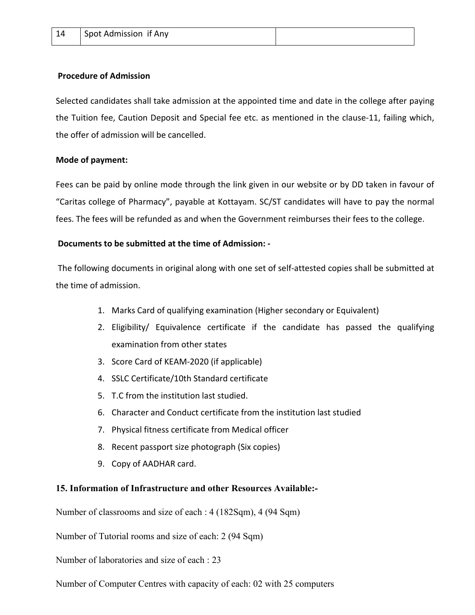#### **Procedure of Admission**

Selected candidates shall take admission at the appointed time and date in the college after paying the Tuition fee, Caution Deposit and Special fee etc. as mentioned in the clause-11, failing which, the offer of admission will be cancelled.

### **Mode of payment:**

Fees can be paid by online mode through the link given in our website or by DD taken in favour of "Caritas college of Pharmacy", payable at Kottayam. SC/ST candidates will have to pay the normal fees. The fees will be refunded as and when the Government reimburses their fees to the college.

### **Documents to be submitted at the time of Admission: -**

The following documents in original along with one set of self-attested copies shall be submitted at the time of admission.

- 1. Marks Card of qualifying examination (Higher secondary or Equivalent)
- 2. Eligibility/ Equivalence certificate if the candidate has passed the qualifying examination from other states
- 3. Score Card of KEAM-2020 (if applicable)
- 4. SSLC Certificate/10th Standard certificate
- 5. T.C from the institution last studied.
- 6. Character and Conduct certificate from the institution last studied
- 7. Physical fitness certificate from Medical officer
- 8. Recent passport size photograph (Six copies)
- 9. Copy of AADHAR card.

### **15. Information of Infrastructure and other Resources Available:-**

Number of classrooms and size of each : 4 (182Sqm), 4 (94 Sqm)

Number of Tutorial rooms and size of each: 2 (94 Sqm)

Number of laboratories and size of each : 23

Number of Computer Centres with capacity of each: 02 with 25 computers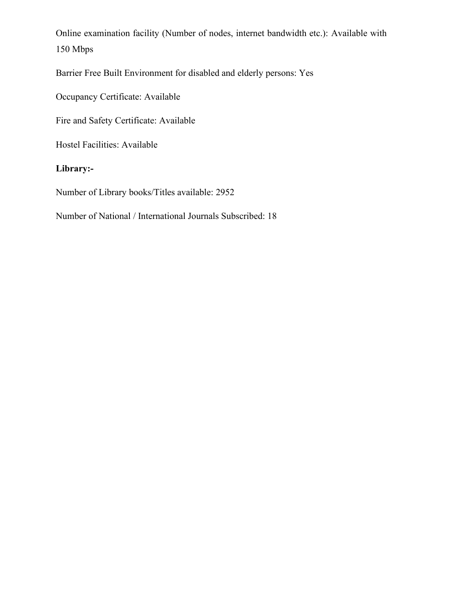Online examination facility (Number of nodes, internet bandwidth etc.): Available with 150 Mbps

Barrier Free Built Environment for disabled and elderly persons: Yes

Occupancy Certificate: Available

Fire and Safety Certificate: Available

Hostel Facilities: Available

### **Library:-**

Number of Library books/Titles available: 2952

Number of National / International Journals Subscribed: 18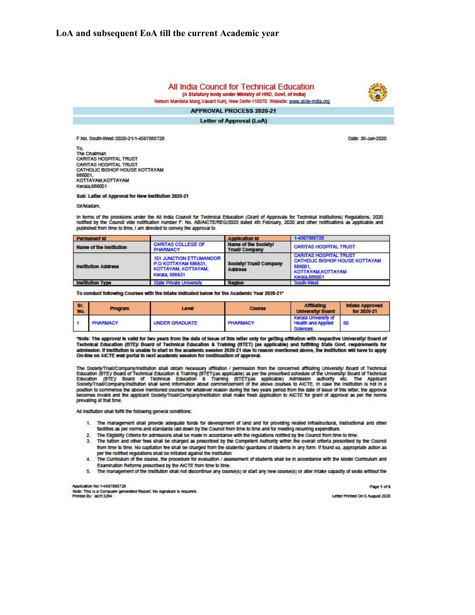#### All India Council for Technical Education (A Statutory body under Ministry of HRD, Govt. of India)

Nelson Mandela Marg Vasant Kuni, New Delhi-110070 Website: www.aicte-india.org

**APPROVAL PROCESS 2020-21 Letter of Approval (LoA)** 

F.No. South-West /2020-21/1-4567885728

To. The Chairman **CARITAS HOSPITAL TRUST CARITAS HOSPITAL TRUST** CATHOLIC BISHOP HOUSE KOTTAYAM 686001 KOTTAYAM, KOTTAYAM Kerala, 686001

Sub: Letter of Approval for New Institution 2020-21

Sir/Madam

In terms of the provisions under the All India Council for Technical Education (Grant of Approvais for Technical Institutions) Regulations, 2020<br>notified by the Council vide notification number F. No. AB/AICTE/REG/2020 dat published from time to time, I am directed to convey the approval to

| Permanent Id               |                                                                                          | <b>Application id</b>                        | 1-4567885728                                                                                                    |
|----------------------------|------------------------------------------------------------------------------------------|----------------------------------------------|-----------------------------------------------------------------------------------------------------------------|
| Name of the Institution    | CARITAS COLLEGE OF<br><b>PHARMACY</b>                                                    | Name of the Society!<br><b>Trust/Company</b> | <b>CARITAS HOSPITAL TRUST</b>                                                                                   |
| <b>Institution Address</b> | 101 JUNCTION ETTUMANOOR<br>P.O KOTTAYAM 686631.<br>KOTTAYAM, KOTTAYAM,<br>Kerala, 686631 | Society/ Trust/ Company<br>Address           | <b>CARITAS HOSPITAL TRUST</b><br>CATHOLIC BISHOP HOUSE KOTTAYAM<br>686001<br>KOTTAYAM.KOTTAYAM<br>Kerala.686001 |
| <b>Institution Type</b>    | <b>State Private University</b>                                                          | Region                                       | South-West                                                                                                      |

To conduct following Courses with the Intake Indicated below for the Academic Year 2020-21\*

| <b>SE</b><br>No. | <b>Program</b>  | Level                 | <b>Course</b>   | Affiliating<br><b>University/Board</b>                               | <b>Intake Approved</b><br>for 2020-21 |
|------------------|-----------------|-----------------------|-----------------|----------------------------------------------------------------------|---------------------------------------|
|                  | <b>PHARMACY</b> | <b>UNDER GRADUATE</b> | <b>PHARMACY</b> | Kerala University of<br><b>Health and Applied</b><br><b>Sciences</b> | - 60                                  |

\*Note: The approval is valid for two years from the date of issue of this letter only for getting affiliation with respective University/ Board of Technical Education (BTE)/ Board of Technical Education & Training (BTET) (as applicable) and fulfilling State Govt. requirements for<br>admission. If institution is unable to start in the academic session 2020-21 due to reas On-line on AICTE web portal in next academic session for continuation of approval.

The Society/Trust/Company/Institution shall obtain necessary affiliation / permission from the concerned affiliating University/ Board of Technical<br>Education (BTE)/ Board of Technical Education & Training (BTET)(as applica position to commence the above mentioned courses for whatever reason during the two years period from the date of issue of this letter, the approval<br>becomes invalid and the applicant Society/Trust/Company/Institution shall prevailing at that time.

All Institution shall fulfill the following general conditions:

- 1. The management shall provide adequate funds for development of land and for providing related infrastructural, instructional and other facilities as per norms and standards laid down by the Council from time to time and for meeting recurring expenditure.
- 2. The Eligibility Criteria for admissions shall be made in accordance with the regulations notified by the Council from time to time.
- 3. The tutton and other fees shall be charged as prescribed by the Competent Authority within the overall criteria prescribed by the Council from time to time. No capitation fee shall be charged from the students/ guardians of students in any form. If found so, appropriate action as per the notified regulations shall be initiated against the institution
- 4. The Curriculum of the course, the procedure for evaluation / assessment of students shall be in accordance with the Model Curriculum and Examination Reforms prescribed by the AICTE from time to time.
- 5. The management of the Institution shall not discontinue any course(s) or start any new course(s) or alter Intake capacity of seats without the

Application No:1-4567885728

Note: This is a Computer generated Report. No signature is required.<br>Printed By : aict13294

Page 1 of 3 Letter Printed On:5 August 2020



Date: 30-Jun-2020